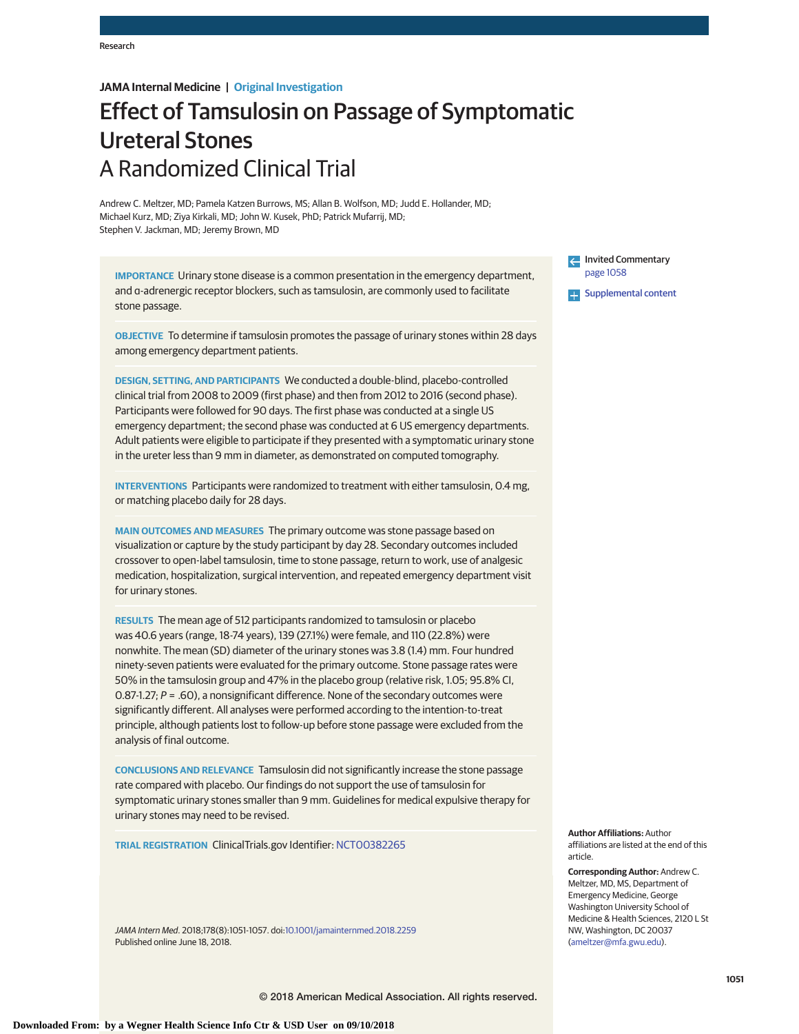# **JAMA Internal Medicine | Original Investigation**

# Effect of Tamsulosin on Passage of Symptomatic Ureteral Stones A Randomized Clinical Trial

Andrew C. Meltzer, MD; Pamela Katzen Burrows, MS; Allan B. Wolfson, MD; Judd E. Hollander, MD; Michael Kurz, MD; Ziya Kirkali, MD; John W. Kusek, PhD; Patrick Mufarrij, MD; Stephen V. Jackman, MD; Jeremy Brown, MD

**IMPORTANCE** Urinary stone disease is a common presentation in the emergency department, and α-adrenergic receptor blockers, such as tamsulosin, are commonly used to facilitate stone passage.

**OBJECTIVE** To determine if tamsulosin promotes the passage of urinary stones within 28 days among emergency department patients.

**DESIGN, SETTING, AND PARTICIPANTS** We conducted a double-blind, placebo-controlled clinical trial from 2008 to 2009 (first phase) and then from 2012 to 2016 (second phase). Participants were followed for 90 days. The first phase was conducted at a single US emergency department; the second phase was conducted at 6 US emergency departments. Adult patients were eligible to participate if they presented with a symptomatic urinary stone in the ureter less than 9 mm in diameter, as demonstrated on computed tomography.

**INTERVENTIONS** Participants were randomized to treatment with either tamsulosin, 0.4 mg, or matching placebo daily for 28 days.

**MAIN OUTCOMES AND MEASURES** The primary outcome was stone passage based on visualization or capture by the study participant by day 28. Secondary outcomes included crossover to open-label tamsulosin, time to stone passage, return to work, use of analgesic medication, hospitalization, surgical intervention, and repeated emergency department visit for urinary stones.

**RESULTS** The mean age of 512 participants randomized to tamsulosin or placebo was 40.6 years (range, 18-74 years), 139 (27.1%) were female, and 110 (22.8%) were nonwhite. The mean (SD) diameter of the urinary stones was 3.8 (1.4) mm. Four hundred ninety-seven patients were evaluated for the primary outcome. Stone passage rates were 50% in the tamsulosin group and 47% in the placebo group (relative risk, 1.05; 95.8% CI, 0.87-1.27;  $P = .60$ ), a nonsignificant difference. None of the secondary outcomes were significantly different. All analyses were performed according to the intention-to-treat principle, although patients lost to follow-up before stone passage were excluded from the analysis of final outcome.

**CONCLUSIONS AND RELEVANCE** Tamsulosin did not significantly increase the stone passage rate compared with placebo. Our findings do not support the use of tamsulosin for symptomatic urinary stones smaller than 9 mm. Guidelines for medical expulsive therapy for urinary stones may need to be revised.

**TRIAL REGISTRATION** ClinicalTrials.gov Identifier: [NCT00382265](https://clinicaltrials.gov/ct2/show/NCT00382265)

JAMA Intern Med. 2018;178(8):1051-1057. doi[:10.1001/jamainternmed.2018.2259](https://jama.jamanetwork.com/article.aspx?doi=10.1001/jamainternmed.2018.2259&utm_campaign=articlePDF%26utm_medium=articlePDFlink%26utm_source=articlePDF%26utm_content=jamainternmed.2018.2259) Published online June 18, 2018.

Invited Commentary [page 1058](https://jama.jamanetwork.com/article.aspx?doi=10.1001/jamainternmed.2018.2265&utm_campaign=articlePDF%26utm_medium=articlePDFlink%26utm_source=articlePDF%26utm_content=jamainternmed.2018.2259)

**Supplemental content** 

**Author Affiliations:** Author affiliations are listed at the end of this article.

**Corresponding Author:** Andrew C. Meltzer, MD, MS, Department of Emergency Medicine, George Washington University School of Medicine & Health Sciences, 2120 L St NW, Washington, DC 20037 [\(ameltzer@mfa.gwu.edu\)](mailto:ameltzer@mfa.gwu.edu).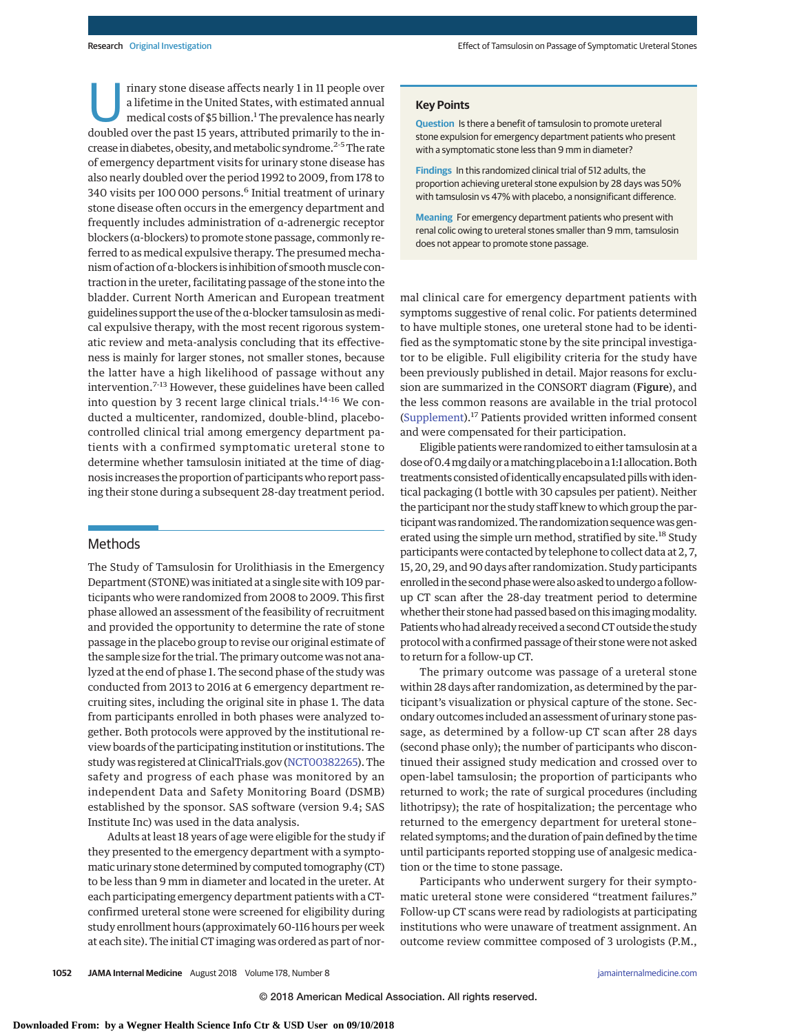rinary stone disease affects nearly 1 in 11 people over a lifetime in the United States, with estimated annual medical costs of \$5 billion.<sup>1</sup> The prevalence has nearly doubled over the past 15 years, attributed primarily to the increase in diabetes, obesity, and metabolic syndrome.<sup>2-5</sup> The rate of emergency department visits for urinary stone disease has also nearly doubled over the period 1992 to 2009, from 178 to 340 visits per 100 000 persons.<sup>6</sup> Initial treatment of urinary stone disease often occurs in the emergency department and frequently includes administration of α-adrenergic receptor blockers (α-blockers) to promote stone passage, commonly referred to as medical expulsive therapy. The presumed mechanism of action of α-blockers is inhibition of smooth muscle contraction in the ureter, facilitating passage of the stone into the bladder. Current North American and European treatment guidelines support the use of the α-blocker tamsulosin as medical expulsive therapy, with the most recent rigorous systematic review and meta-analysis concluding that its effectiveness is mainly for larger stones, not smaller stones, because the latter have a high likelihood of passage without any intervention.7-13 However, these guidelines have been called into question by 3 recent large clinical trials.<sup>14-16</sup> We conducted a multicenter, randomized, double-blind, placebocontrolled clinical trial among emergency department patients with a confirmed symptomatic ureteral stone to determine whether tamsulosin initiated at the time of diagnosis increases the proportion of participants who report passing their stone during a subsequent 28-day treatment period.

### Methods

The Study of Tamsulosin for Urolithiasis in the Emergency Department (STONE) was initiated at a single site with 109 participants who were randomized from 2008 to 2009. This first phase allowed an assessment of the feasibility of recruitment and provided the opportunity to determine the rate of stone passage in the placebo group to revise our original estimate of the sample size for the trial. The primary outcome was not analyzed at the end of phase 1. The second phase of the study was conducted from 2013 to 2016 at 6 emergency department recruiting sites, including the original site in phase 1. The data from participants enrolled in both phases were analyzed together. Both protocols were approved by the institutional review boards of the participating institution or institutions. The study was registered at ClinicalTrials.gov [\(NCT00382265\)](https://clinicaltrials.gov/ct2/show/NCT00382265). The safety and progress of each phase was monitored by an independent Data and Safety Monitoring Board (DSMB) established by the sponsor. SAS software (version 9.4; SAS Institute Inc) was used in the data analysis.

Adults at least 18 years of age were eligible for the study if they presented to the emergency department with a symptomatic urinary stone determined by computed tomography (CT) to be less than 9 mm in diameter and located in the ureter. At each participating emergency department patients with a CTconfirmed ureteral stone were screened for eligibility during study enrollment hours (approximately 60-116 hours per week at each site). The initial CT imaging was ordered as part of nor-

#### **Key Points**

**Question** Is there a benefit of tamsulosin to promote ureteral stone expulsion for emergency department patients who present with a symptomatic stone less than 9 mm in diameter?

**Findings** In this randomized clinical trial of 512 adults, the proportion achieving ureteral stone expulsion by 28 days was 50% with tamsulosin vs 47% with placebo, a nonsignificant difference.

**Meaning** For emergency department patients who present with renal colic owing to ureteral stones smaller than 9 mm, tamsulosin does not appear to promote stone passage.

mal clinical care for emergency department patients with symptoms suggestive of renal colic. For patients determined to have multiple stones, one ureteral stone had to be identified as the symptomatic stone by the site principal investigator to be eligible. Full eligibility criteria for the study have been previously published in detail. Major reasons for exclusion are summarized in the CONSORT diagram (Figure), and the less common reasons are available in the trial protocol [\(Supplement\)](https://jama.jamanetwork.com/article.aspx?doi=10.1001/jamainternmed.2018.2259&utm_campaign=articlePDF%26utm_medium=articlePDFlink%26utm_source=articlePDF%26utm_content=jamainternmed.2018.2259).17 Patients provided written informed consent and were compensated for their participation.

Eligible patients were randomized to either tamsulosin at a dose of 0.4 mg daily or a matching placebo in a 1:1 allocation. Both treatments consisted of identically encapsulated pillswith identical packaging (1 bottle with 30 capsules per patient). Neither the participant nor the study staff knew to which group the participant was randomized. The randomization sequence was generated using the simple urn method, stratified by site.<sup>18</sup> Study participants were contacted by telephone to collect data at 2, 7, 15, 20, 29, and 90 days after randomization. Study participants enrolled in the second phase were also asked to undergo a followup CT scan after the 28-day treatment period to determine whether their stone had passed based on this imaging modality. Patients who had already received a second CT outside the study protocol with a confirmed passage of their stone were not asked to return for a follow-up CT.

The primary outcome was passage of a ureteral stone within 28 days after randomization, as determined by the participant's visualization or physical capture of the stone. Secondary outcomes included an assessment of urinary stone passage, as determined by a follow-up CT scan after 28 days (second phase only); the number of participants who discontinued their assigned study medication and crossed over to open-label tamsulosin; the proportion of participants who returned to work; the rate of surgical procedures (including lithotripsy); the rate of hospitalization; the percentage who returned to the emergency department for ureteral stone– related symptoms; and the duration of pain defined by the time until participants reported stopping use of analgesic medication or the time to stone passage.

Participants who underwent surgery for their symptomatic ureteral stone were considered "treatment failures." Follow-up CT scans were read by radiologists at participating institutions who were unaware of treatment assignment. An outcome review committee composed of 3 urologists (P.M.,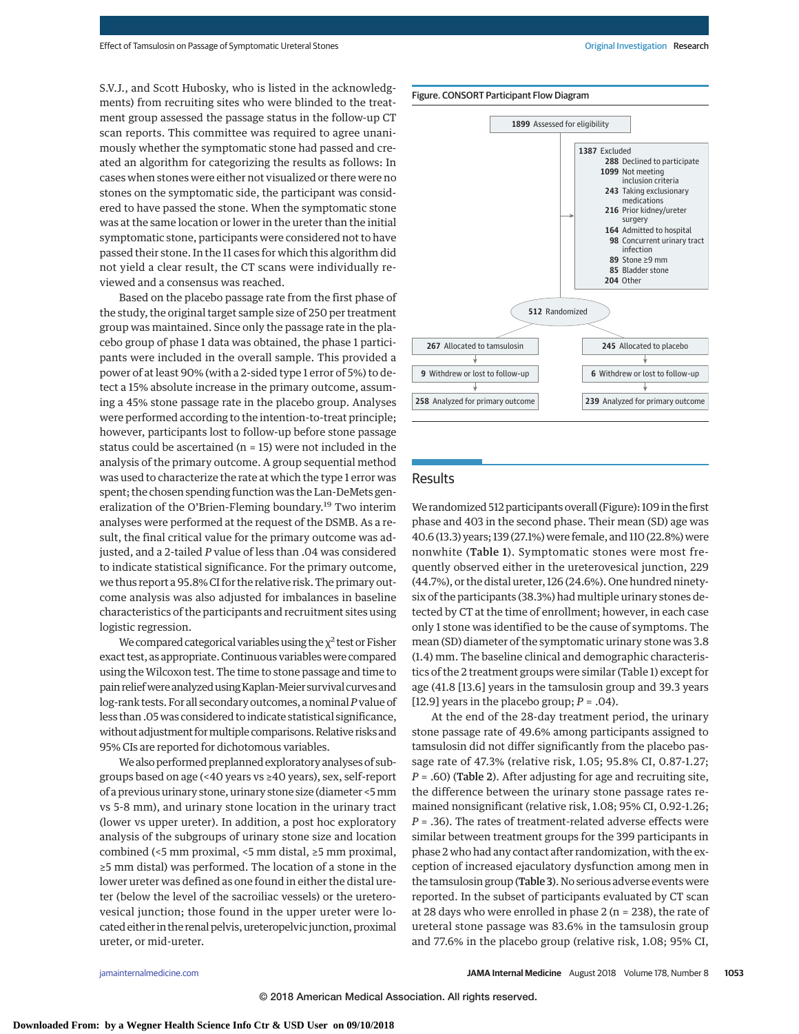S.V.J., and Scott Hubosky, who is listed in the acknowledgments) from recruiting sites who were blinded to the treatment group assessed the passage status in the follow-up CT scan reports. This committee was required to agree unanimously whether the symptomatic stone had passed and created an algorithm for categorizing the results as follows: In cases when stones were either not visualized or there were no stones on the symptomatic side, the participant was considered to have passed the stone. When the symptomatic stone was at the same location or lower in the ureter than the initial symptomatic stone, participants were considered not to have passed their stone. In the 11 cases for which this algorithm did not yield a clear result, the CT scans were individually reviewed and a consensus was reached.

Based on the placebo passage rate from the first phase of the study, the original target sample size of 250 per treatment group was maintained. Since only the passage rate in the placebo group of phase 1 data was obtained, the phase 1 participants were included in the overall sample. This provided a power of at least 90% (with a 2-sided type 1 error of 5%) to detect a 15% absolute increase in the primary outcome, assuming a 45% stone passage rate in the placebo group. Analyses were performed according to the intention-to-treat principle; however, participants lost to follow-up before stone passage status could be ascertained (n = 15) were not included in the analysis of the primary outcome. A group sequential method was used to characterize the rate at which the type 1 error was spent; the chosen spending function was the Lan-DeMets generalization of the O'Brien-Fleming boundary.<sup>19</sup> Two interim analyses were performed at the request of the DSMB. As a result, the final critical value for the primary outcome was adjusted, and a 2-tailed *P* value of less than .04 was considered to indicate statistical significance. For the primary outcome, we thus report a 95.8% CI for the relative risk. The primary outcome analysis was also adjusted for imbalances in baseline characteristics of the participants and recruitment sites using logistic regression.

We compared categorical variables using the  $\chi^2$  test or Fisher exact test, as appropriate. Continuous variables were compared using the Wilcoxon test. The time to stone passage and time to pain relief were analyzed using Kaplan-Meier survival curves and log-rank tests. For all secondary outcomes, a nominal*P*value of less than .05 was considered to indicate statistical significance, without adjustment for multiple comparisons. Relative risks and 95% CIs are reported for dichotomous variables.

We also performed preplanned exploratory analyses of subgroups based on age (<40 years vs ≥40 years), sex, self-report of a previous urinary stone, urinary stone size (diameter <5mm vs 5-8 mm), and urinary stone location in the urinary tract (lower vs upper ureter). In addition, a post hoc exploratory analysis of the subgroups of urinary stone size and location combined (<5 mm proximal, <5 mm distal, ≥5 mm proximal, ≥5 mm distal) was performed. The location of a stone in the lower ureter was defined as one found in either the distal ureter (below the level of the sacroiliac vessels) or the ureterovesical junction; those found in the upper ureter were located either in the renal pelvis, ureteropelvicjunction, proximal ureter, or mid-ureter.





## Results

We randomized 512 participants overall (Figure): 109 in the first phase and 403 in the second phase. Their mean (SD) age was 40.6 (13.3) years; 139 (27.1%) were female, and 110 (22.8%) were nonwhite (Table 1). Symptomatic stones were most frequently observed either in the ureterovesical junction, 229 (44.7%), or the distal ureter, 126 (24.6%). One hundred ninetysix of the participants (38.3%) had multiple urinary stones detected by CT at the time of enrollment; however, in each case only 1 stone was identified to be the cause of symptoms. The mean (SD) diameter of the symptomatic urinary stone was 3.8 (1.4) mm. The baseline clinical and demographic characteristics of the 2 treatment groups were similar (Table 1) except for age (41.8 [13.6] years in the tamsulosin group and 39.3 years [12.9] years in the placebo group; *P* = .04).

At the end of the 28-day treatment period, the urinary stone passage rate of 49.6% among participants assigned to tamsulosin did not differ significantly from the placebo passage rate of 47.3% (relative risk, 1.05; 95.8% CI, 0.87-1.27; *P* = .60) (Table 2). After adjusting for age and recruiting site, the difference between the urinary stone passage rates remained nonsignificant (relative risk, 1.08; 95% CI, 0.92-1.26; *P* = .36). The rates of treatment-related adverse effects were similar between treatment groups for the 399 participants in phase 2 who had any contact after randomization, with the exception of increased ejaculatory dysfunction among men in the tamsulosin group (Table 3). No serious adverse events were reported. In the subset of participants evaluated by CT scan at 28 days who were enrolled in phase 2 ( $n = 238$ ), the rate of ureteral stone passage was 83.6% in the tamsulosin group and 77.6% in the placebo group (relative risk, 1.08; 95% CI,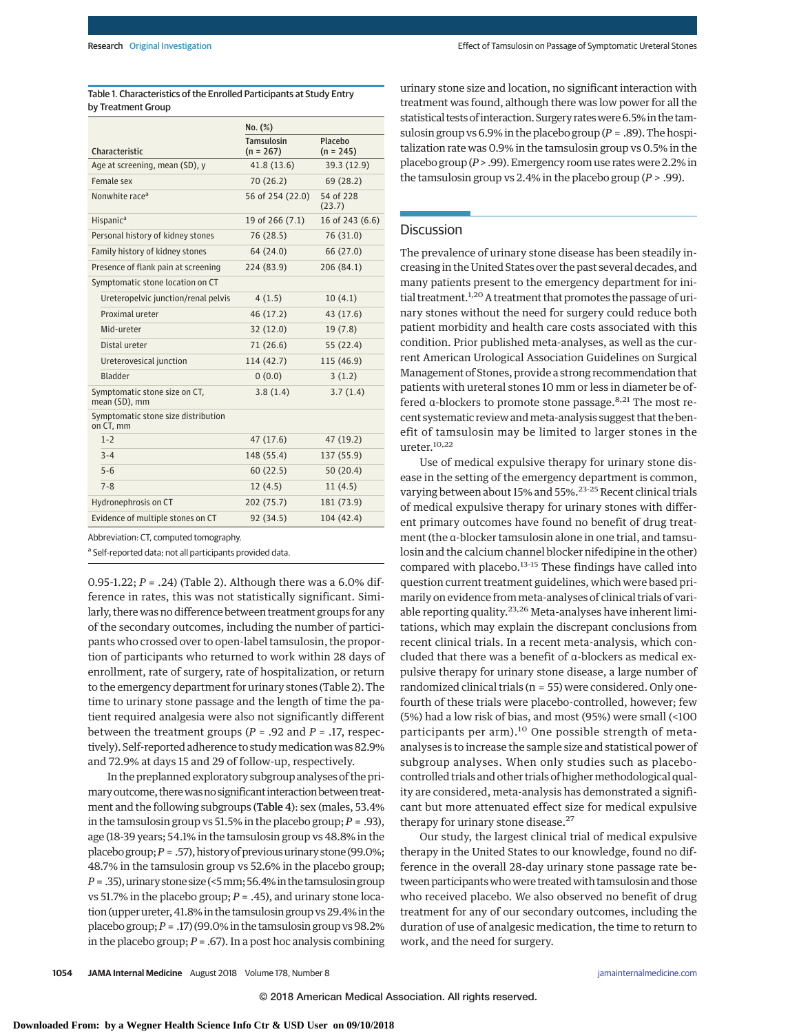|                                                  | No. (%)                          |                        |
|--------------------------------------------------|----------------------------------|------------------------|
| Characteristic                                   | <b>Tamsulosin</b><br>$(n = 267)$ | Placebo<br>$(n = 245)$ |
| Age at screening, mean (SD), y                   | 41.8 (13.6)                      | 39.3 (12.9)            |
| Female sex                                       | 70 (26.2)                        | 69 (28.2)              |
| Nonwhite race <sup>a</sup>                       | 56 of 254 (22.0)                 | 54 of 228<br>(23.7)    |
| Hispanic <sup>a</sup>                            | 19 of 266 (7.1)                  | 16 of 243 (6.6)        |
| Personal history of kidney stones                | 76 (28.5)                        | 76 (31.0)              |
| Family history of kidney stones                  | 64 (24.0)                        | 66 (27.0)              |
| Presence of flank pain at screening              | 224 (83.9)                       | 206 (84.1)             |
| Symptomatic stone location on CT                 |                                  |                        |
| Ureteropelvic junction/renal pelvis              | 4(1.5)                           | 10(4.1)                |
| Proximal ureter                                  | 46 (17.2)                        | 43 (17.6)              |
| Mid-ureter                                       | 32(12.0)                         | 19(7.8)                |
| Distal ureter                                    | 71 (26.6)                        | 55 (22.4)              |
| Ureterovesical junction                          | 114 (42.7)                       | 115 (46.9)             |
| Bladder                                          | 0(0.0)                           | 3(1.2)                 |
| Symptomatic stone size on CT,<br>mean (SD), mm   | 3.8(1.4)                         | 3.7(1.4)               |
| Symptomatic stone size distribution<br>on CT, mm |                                  |                        |
| $1 - 2$                                          | 47 (17.6)                        | 47 (19.2)              |
| $3 - 4$                                          | 148 (55.4)                       | 137 (55.9)             |
| $5 - 6$                                          | 60(22.5)                         | 50(20.4)               |
| $7 - 8$                                          | 12(4.5)                          | 11(4.5)                |
| Hydronephrosis on CT                             | 202(75.7)                        | 181 (73.9)             |
| Evidence of multiple stones on CT                | 92 (34.5)                        | 104 (42.4)             |

Table 1. Characteristics of the Enrolled Participants at Study Entry by Treatment Group

Abbreviation: CT, computed tomography.

<sup>a</sup> Self-reported data; not all participants provided data.

0.95-1.22; *P* = .24) (Table 2). Although there was a 6.0% difference in rates, this was not statistically significant. Similarly, there was no difference between treatment groups for any of the secondary outcomes, including the number of participants who crossed over to open-label tamsulosin, the proportion of participants who returned to work within 28 days of enrollment, rate of surgery, rate of hospitalization, or return to the emergency department for urinary stones (Table 2). The time to urinary stone passage and the length of time the patient required analgesia were also not significantly different between the treatment groups (*P* = .92 and *P* = .17, respectively). Self-reported adherence to study medication was 82.9% and 72.9% at days 15 and 29 of follow-up, respectively.

In the preplanned exploratory subgroup analyses of the primary outcome, there was no significant interaction between treatment and the following subgroups (Table 4): sex (males, 53.4% in the tamsulosin group vs 51.5% in the placebo group; *P* = .93), age (18-39 years; 54.1% in the tamsulosin group vs 48.8% in the placebo group;  $P = .57$ ), history of previous urinary stone (99.0%; 48.7% in the tamsulosin group vs 52.6% in the placebo group; *P* = .35),urinarystonesize (<5mm;56.4% in the tamsulosingroup vs 51.7% in the placebo group; *P* = .45), and urinary stone location (upperureter, 41.8% in the tamsulosin group vs 29.4% in the placebo group;*P* = .17) (99.0% in the tamsulosin group vs 98.2% in the placebo group;  $P = .67$ ). In a post hoc analysis combining urinary stone size and location, no significant interaction with treatment was found, although there was low power for all the statistical tests of interaction. Surgery rates were 6.5% in the tamsulosin group vs 6.9% in the placebo group (*P* = .89). The hospitalization rate was 0.9% in the tamsulosin group vs 0.5% in the placebo group (*P*> .99). Emergency room use rates were 2.2% in the tamsulosin group vs 2.4% in the placebo group (*P* > .99).

# Discussion

The prevalence of urinary stone disease has been steadily increasing in the United States over the past several decades, and many patients present to the emergency department for initial treatment.<sup>1,20</sup> A treatment that promotes the passage of urinary stones without the need for surgery could reduce both patient morbidity and health care costs associated with this condition. Prior published meta-analyses, as well as the current American Urological Association Guidelines on Surgical Management of Stones, provide a strong recommendation that patients with ureteral stones 10 mm or less in diameter be offered α-blockers to promote stone passage.<sup>8,21</sup> The most recent systematic review and meta-analysis suggest that the benefit of tamsulosin may be limited to larger stones in the ureter.10,22

Use of medical expulsive therapy for urinary stone disease in the setting of the emergency department is common, varying between about 15% and 55%.<sup>23-25</sup> Recent clinical trials of medical expulsive therapy for urinary stones with different primary outcomes have found no benefit of drug treatment (the α-blocker tamsulosin alone in one trial, and tamsulosin and the calcium channel blocker nifedipine in the other) compared with placebo.<sup>13-15</sup> These findings have called into question current treatment guidelines, which were based primarily on evidence frommeta-analyses of clinical trials of variable reporting quality.23,26 Meta-analyses have inherent limitations, which may explain the discrepant conclusions from recent clinical trials. In a recent meta-analysis, which concluded that there was a benefit of α-blockers as medical expulsive therapy for urinary stone disease, a large number of randomized clinical trials (n = 55) were considered. Only onefourth of these trials were placebo-controlled, however; few (5%) had a low risk of bias, and most (95%) were small (<100 participants per arm).<sup>10</sup> One possible strength of metaanalyses is to increase the sample size and statistical power of subgroup analyses. When only studies such as placebocontrolled trials and other trials of higher methodological quality are considered, meta-analysis has demonstrated a significant but more attenuated effect size for medical expulsive therapy for urinary stone disease.<sup>27</sup>

Our study, the largest clinical trial of medical expulsive therapy in the United States to our knowledge, found no difference in the overall 28-day urinary stone passage rate between participants who were treated with tamsulosin and those who received placebo. We also observed no benefit of drug treatment for any of our secondary outcomes, including the duration of use of analgesic medication, the time to return to work, and the need for surgery.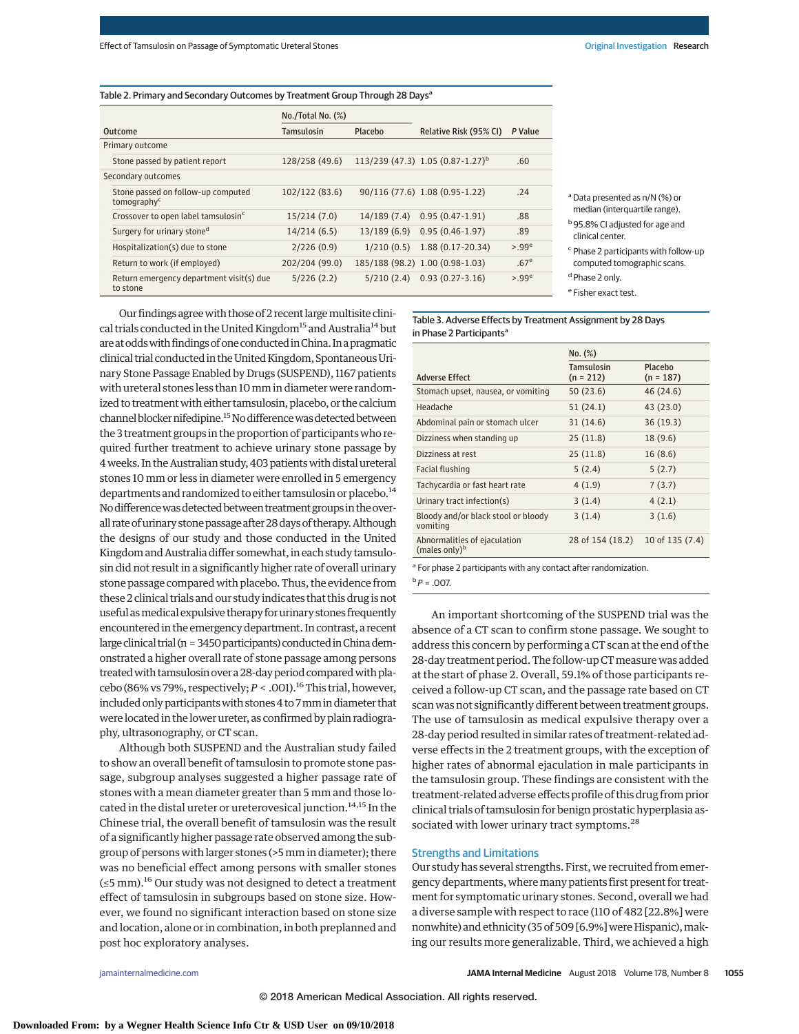#### Table 2. Primary and Secondary Outcomes by Treatment Group Through 28 Days<sup>a</sup>

|                                                               | $No./Total No.$ $(\%)$ |             |                                                |                  |
|---------------------------------------------------------------|------------------------|-------------|------------------------------------------------|------------------|
| Outcome                                                       | Tamsulosin             | Placebo     | Relative Risk (95% CI)                         | P Value          |
| Primary outcome                                               |                        |             |                                                |                  |
| Stone passed by patient report                                | 128/258 (49.6)         |             | $113/239$ (47.3) 1.05 (0.87-1.27) <sup>b</sup> | .60              |
| Secondary outcomes                                            |                        |             |                                                |                  |
| Stone passed on follow-up computed<br>tomography <sup>c</sup> | 102/122(83.6)          |             | 90/116 (77.6) 1.08 (0.95-1.22)                 | .24              |
| Crossover to open label tamsulosin <sup>c</sup>               | 15/214 (7.0)           | 14/189(7.4) | $0.95(0.47-1.91)$                              | .88              |
| Surgery for urinary stoned                                    | 14/214 (6.5)           | 13/189(6.9) | $0.95(0.46-1.97)$                              | .89              |
| Hospitalization(s) due to stone                               | 2/226(0.9)             | 1/210(0.5)  | $1.88(0.17-20.34)$                             | $>99^e$          |
| Return to work (if employed)                                  | 202/204 (99.0)         |             | 185/188 (98.2) 1.00 (0.98-1.03)                | .67 <sup>e</sup> |
| Return emergency department visit(s) due<br>to stone          | 5/226(2.2)             |             | $5/210(2.4)$ 0.93 (0.27-3.16)                  | >99 <sup>e</sup> |

<sup>a</sup> Data presented as n/N (%) or median (interquartile range).

b95.8% CI adjusted for age and clinical center.

<sup>c</sup> Phase 2 participants with follow-up computed tomographic scans.

<sup>d</sup> Phase 2 only. <sup>e</sup> Fisher exact test.

Our findings agree with those of 2 recent large multisite clinical trials conducted in the United Kingdom<sup>15</sup> and Australia<sup>14</sup> but are at odds with findings of one conducted in China. In a pragmatic clinical trial conducted in the United Kingdom, Spontaneous Urinary Stone Passage Enabled by Drugs (SUSPEND), 1167 patients with ureteral stones less than 10 mm in diameter were randomized to treatment with either tamsulosin, placebo, or the calcium channel blocker nifedipine.<sup>15</sup> No difference was detected between the 3 treatment groups in the proportion of participants who required further treatment to achieve urinary stone passage by 4weeks. In the Australian study, 403 patientswith distalureteral stones 10 mm or less in diameter were enrolled in 5 emergency departments and randomized to either tamsulosin or placebo.<sup>14</sup> No difference was detected between treatment groups in the overall rate of urinary stone passage after 28 days of therapy. Although the designs of our study and those conducted in the United Kingdom and Australia differ somewhat, in each study tamsulosin did not result in a significantly higher rate of overall urinary stone passage compared with placebo. Thus, the evidence from these 2 clinical trials and our study indicates that this drug is not useful as medical expulsive therapy for urinary stones frequently encountered in the emergency department. In contrast, a recent large clinical trial (n =  $3450$  participants) conducted in Chinademonstrated a higher overall rate of stone passage among persons treated with tamsulosin over a 28-day period compared with placebo (86% vs 79%, respectively;  $P < .001$ ).<sup>16</sup> This trial, however, included only participants with stones 4 to 7 mm in diameter that were located in the lower ureter, as confirmed by plain radiogra-

Although both SUSPEND and the Australian study failed to show an overall benefit of tamsulosin to promote stone passage, subgroup analyses suggested a higher passage rate of stones with a mean diameter greater than 5 mm and those located in the distal ureter or ureterovesical junction.<sup>14,15</sup> In the Chinese trial, the overall benefit of tamsulosin was the result of a significantly higher passage rate observed among the subgroup of persons with larger stones (>5 mm in diameter); there was no beneficial effect among persons with smaller stones (≤5 mm).<sup>16</sup> Our study was not designed to detect a treatment effect of tamsulosin in subgroups based on stone size. However, we found no significant interaction based on stone size and location, alone or in combination, in both preplanned and post hoc exploratory analyses.

Table 3. Adverse Effects by Treatment Assignment by 28 Days in Phase 2 Participants<sup>a</sup>

|                                                           | No. (%)                   |                        |
|-----------------------------------------------------------|---------------------------|------------------------|
| <b>Adverse Effect</b>                                     | Tamsulosin<br>$(n = 212)$ | Placebo<br>$(n = 187)$ |
| Stomach upset, nausea, or vomiting                        | 50 (23.6)                 | 46 (24.6)              |
| Headache                                                  | 51 (24.1)                 | 43 (23.0)              |
| Abdominal pain or stomach ulcer                           | 31(14.6)                  | 36(19.3)               |
| Dizziness when standing up                                | 25(11.8)                  | 18 (9.6)               |
| Dizziness at rest                                         | 25(11.8)                  | 16 (8.6)               |
| Facial flushing                                           | 5(2.4)                    | 5(2.7)                 |
| Tachycardia or fast heart rate                            | 4(1.9)                    | 7(3.7)                 |
| Urinary tract infection(s)                                | 3(1.4)                    | 4(2.1)                 |
| Bloody and/or black stool or bloody<br>vomiting           | 3(1.4)                    | 3(1.6)                 |
| Abnormalities of ejaculation<br>(males only) <sup>b</sup> | 28 of 154 (18.2)          | 10 of 135 (7.4)        |
|                                                           |                           |                        |

<sup>a</sup> For phase 2 participants with any contact after randomization.

 $b$   $P = .007$ .

An important shortcoming of the SUSPEND trial was the absence of a CT scan to confirm stone passage. We sought to address this concern by performing a CT scan at the end of the 28-day treatment period. The follow-up CT measure was added at the start of phase 2. Overall, 59.1% of those participants received a follow-up CT scan, and the passage rate based on CT scan was not significantly different between treatment groups. The use of tamsulosin as medical expulsive therapy over a 28-day period resulted in similar rates of treatment-related adverse effects in the 2 treatment groups, with the exception of higher rates of abnormal ejaculation in male participants in the tamsulosin group. These findings are consistent with the treatment-related adverse effects profile of this drug from prior clinical trials of tamsulosin for benign prostatic hyperplasia associated with lower urinary tract symptoms.<sup>28</sup>

#### Strengths and Limitations

Our study has several strengths. First, we recruited from emergency departments, wheremany patients first present for treatment for symptomatic urinary stones. Second, overall we had a diverse sample with respect to race (110 of 482 [22.8%] were nonwhite) and ethnicity (35 of 509 [6.9%] were Hispanic), making our results more generalizable. Third, we achieved a high

phy, ultrasonography, or CT scan.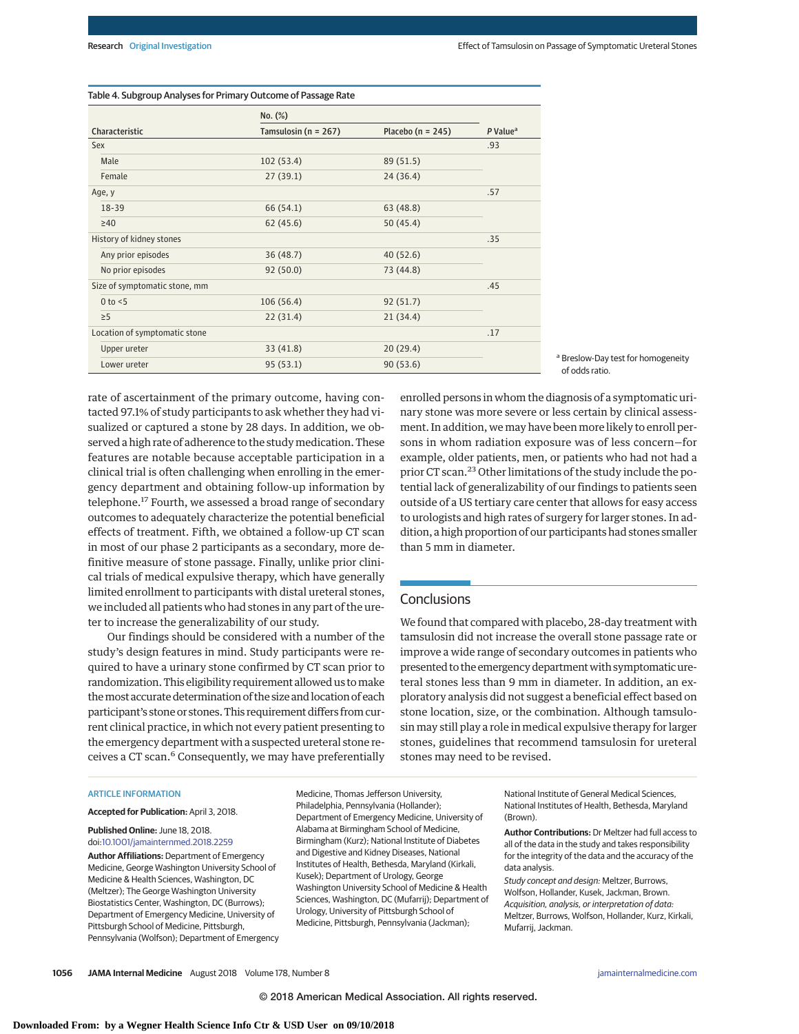|                               | No. (%)                  |                       |                      |
|-------------------------------|--------------------------|-----------------------|----------------------|
| Characteristic                | Tamsulosin ( $n = 267$ ) | Placebo ( $n = 245$ ) | P Value <sup>a</sup> |
| Sex                           |                          |                       | .93                  |
| Male                          | 102(53.4)                | 89 (51.5)             |                      |
| Female                        | 27(39.1)                 | 24 (36.4)             |                      |
| Age, y                        |                          |                       | .57                  |
| 18-39                         | 66 (54.1)                | 63 (48.8)             |                      |
| $\geq 40$                     | 62(45.6)                 | 50 (45.4)             |                      |
| History of kidney stones      |                          |                       | .35                  |
| Any prior episodes            | 36(48.7)                 | 40(52.6)              |                      |
| No prior episodes             | 92(50.0)                 | 73 (44.8)             |                      |
| Size of symptomatic stone, mm |                          |                       | .45                  |
| $0$ to $<$ 5                  | 106(56.4)                | 92(51.7)              |                      |
| $\geq$ 5                      | 22(31.4)                 | 21(34.4)              |                      |
| Location of symptomatic stone |                          |                       | .17                  |
| Upper ureter                  | 33(41.8)                 | 20(29.4)              |                      |
| Lower ureter                  | 95(53.1)                 | 90(53.6)              |                      |

# Table 4. Subgroup Analyses for Primary Outcome of Passage Rate

<sup>a</sup> Breslow-Day test for homogeneity of odds ratio.

rate of ascertainment of the primary outcome, having contacted 97.1% of study participants to ask whether they had visualized or captured a stone by 28 days. In addition, we observed a high rate of adherence to the study medication. These features are notable because acceptable participation in a clinical trial is often challenging when enrolling in the emergency department and obtaining follow-up information by telephone.<sup>17</sup> Fourth, we assessed a broad range of secondary outcomes to adequately characterize the potential beneficial effects of treatment. Fifth, we obtained a follow-up CT scan in most of our phase 2 participants as a secondary, more definitive measure of stone passage. Finally, unlike prior clinical trials of medical expulsive therapy, which have generally limited enrollment to participants with distal ureteral stones, we included all patients who had stones in any part of the ureter to increase the generalizability of our study.

Our findings should be considered with a number of the study's design features in mind. Study participants were required to have a urinary stone confirmed by CT scan prior to randomization. This eligibility requirement allowed us tomake themost accurate determination of the size and location of each participant's stone or stones. This requirement differs from current clinical practice, in which not every patient presenting to the emergency department with a suspected ureteral stone receives a CT scan.<sup>6</sup> Consequently, we may have preferentially ment. In addition, we may have been more likely to enroll persons in whom radiation exposure was of less concern—for example, older patients, men, or patients who had not had a prior CT scan.23 Other limitations of the study include the potential lack of generalizability of our findings to patients seen outside of a US tertiary care center that allows for easy access to urologists and high rates of surgery for larger stones. In addition, a high proportion of our participants had stones smaller than 5 mm in diameter.

enrolled persons in whom the diagnosis of a symptomatic urinary stone was more severe or less certain by clinical assess-

# **Conclusions**

We found that compared with placebo, 28-day treatment with tamsulosin did not increase the overall stone passage rate or improve a wide range of secondary outcomes in patients who presented to the emergency department with symptomatic ureteral stones less than 9 mm in diameter. In addition, an exploratory analysis did not suggest a beneficial effect based on stone location, size, or the combination. Although tamsulosin may still play a role in medical expulsive therapy for larger stones, guidelines that recommend tamsulosin for ureteral stones may need to be revised.

#### ARTICLE INFORMATION

**Accepted for Publication:** April 3, 2018.

#### **Published Online:** June 18, 2018. doi[:10.1001/jamainternmed.2018.2259](https://jama.jamanetwork.com/article.aspx?doi=10.1001/jamainternmed.2018.2259&utm_campaign=articlePDF%26utm_medium=articlePDFlink%26utm_source=articlePDF%26utm_content=jamainternmed.2018.2259)

**Author Affiliations:** Department of Emergency Medicine, George Washington University School of Medicine & Health Sciences, Washington, DC (Meltzer); The George Washington University Biostatistics Center, Washington, DC (Burrows); Department of Emergency Medicine, University of Pittsburgh School of Medicine, Pittsburgh, Pennsylvania (Wolfson); Department of Emergency Medicine, Thomas Jefferson University, Philadelphia, Pennsylvania (Hollander); Department of Emergency Medicine, University of Alabama at Birmingham School of Medicine, Birmingham (Kurz); National Institute of Diabetes and Digestive and Kidney Diseases, National Institutes of Health, Bethesda, Maryland (Kirkali, Kusek); Department of Urology, George Washington University School of Medicine & Health Sciences, Washington, DC (Mufarrij); Department of Urology, University of Pittsburgh School of Medicine, Pittsburgh, Pennsylvania (Jackman);

National Institute of General Medical Sciences, National Institutes of Health, Bethesda, Maryland (Brown).

**Author Contributions:** Dr Meltzer had full access to all of the data in the study and takes responsibility for the integrity of the data and the accuracy of the data analysis.

Study concept and design: Meltzer, Burrows, Wolfson, Hollander, Kusek, Jackman, Brown. Acquisition, analysis, or interpretation of data: Meltzer, Burrows, Wolfson, Hollander, Kurz, Kirkali, Mufarrij, Jackman.

**1056 JAMA Internal Medicine** August 2018 Volume 178, Number 8 **(Reprinted)** [jamainternalmedicine.com](http://www.jamainternalmedicine.com/?utm_campaign=articlePDF%26utm_medium=articlePDFlink%26utm_source=articlePDF%26utm_content=jamainternmed.2018.2259)